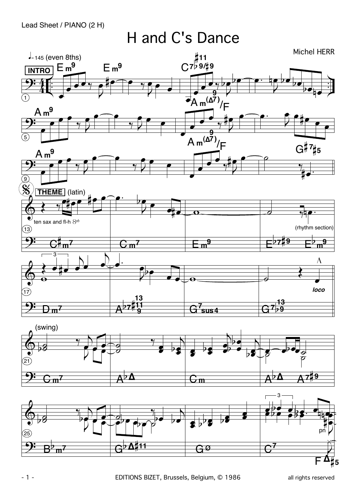H and C's Dance

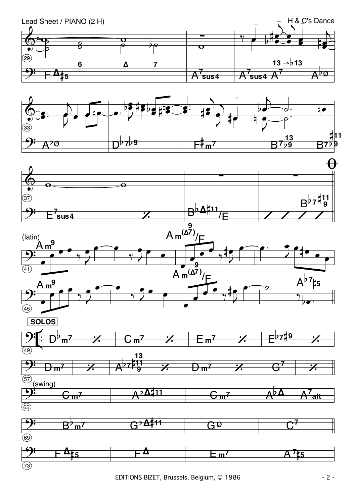